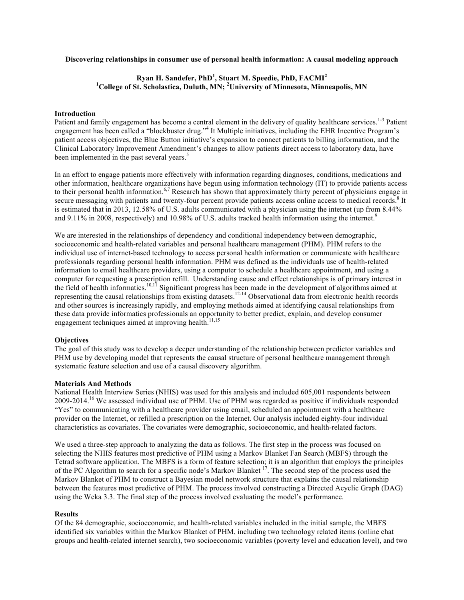## **Discovering relationships in consumer use of personal health information: A causal modeling approach**

# **Ryan H. Sandefer, PhD<sup>1</sup> , Stuart M. Speedie, PhD, FACMI<sup>2</sup> 1 College of St. Scholastica, Duluth, MN; <sup>2</sup> University of Minnesota, Minneapolis, MN**

#### **Introduction**

Patient and family engagement has become a central element in the delivery of quality healthcare services.<sup>1-3</sup> Patient engagement has been called a "blockbuster drug."<sup>4</sup> It Multiple initiatives, including the EHR Incentive Program's patient access objectives, the Blue Button initiative's expansion to connect patients to billing information, and the Clinical Laboratory Improvement Amendment's changes to allow patients direct access to laboratory data, have been implemented in the past several years.<sup>5</sup>

In an effort to engage patients more effectively with information regarding diagnoses, conditions, medications and other information, healthcare organizations have begun using information technology (IT) to provide patients access to their personal health information.<sup>6,7</sup> Research has shown that approximately thirty percent of physicians engage in secure messaging with patients and twenty-four percent provide patients access online access to medical records.<sup>8</sup> It is estimated that in 2013, 12.58% of U.S. adults communicated with a physician using the internet (up from 8.44% and 9.11% in 2008, respectively) and 10.98% of U.S. adults tracked health information using the internet.<sup>9</sup>

We are interested in the relationships of dependency and conditional independency between demographic, socioeconomic and health-related variables and personal healthcare management (PHM). PHM refers to the individual use of internet-based technology to access personal health information or communicate with healthcare professionals regarding personal health information. PHM was defined as the individuals use of health-related information to email healthcare providers, using a computer to schedule a healthcare appointment, and using a computer for requesting a prescription refill. Understanding cause and effect relationships is of primary interest in the field of health informatics.<sup>10,11</sup> Significant progress has been made in the development of algorithms aimed at representing the causal relationships from existing datasets.<sup>12-14</sup> Observational data from electronic health records and other sources is increasingly rapidly, and employing methods aimed at identifying causal relationships from these data provide informatics professionals an opportunity to better predict, explain, and develop consumer engagement techniques aimed at improving health.<sup>11,15</sup>

### **Objectives**

The goal of this study was to develop a deeper understanding of the relationship between predictor variables and PHM use by developing model that represents the causal structure of personal healthcare management through systematic feature selection and use of a causal discovery algorithm.

### **Materials And Methods**

National Health Interview Series (NHIS) was used for this analysis and included 605,001 respondents between 2009-2014.<sup>16</sup> We assessed individual use of PHM. Use of PHM was regarded as positive if individuals responded "Yes" to communicating with a healthcare provider using email, scheduled an appointment with a healthcare provider on the Internet, or refilled a prescription on the Internet. Our analysis included eighty-four individual characteristics as covariates. The covariates were demographic, socioeconomic, and health-related factors.

We used a three-step approach to analyzing the data as follows. The first step in the process was focused on selecting the NHIS features most predictive of PHM using a Markov Blanket Fan Search (MBFS) through the Tetrad software application. The MBFS is a form of feature selection; it is an algorithm that employs the principles of the PC Algorithm to search for a specific node's Markov Blanket <sup>17</sup>. The second step of the process used the Markov Blanket of PHM to construct a Bayesian model network structure that explains the causal relationship between the features most predictive of PHM. The process involved constructing a Directed Acyclic Graph (DAG) using the Weka 3.3. The final step of the process involved evaluating the model's performance.

#### **Results**

Of the 84 demographic, socioeconomic, and health-related variables included in the initial sample, the MBFS identified six variables within the Markov Blanket of PHM, including two technology related items (online chat groups and health-related internet search), two socioeconomic variables (poverty level and education level), and two